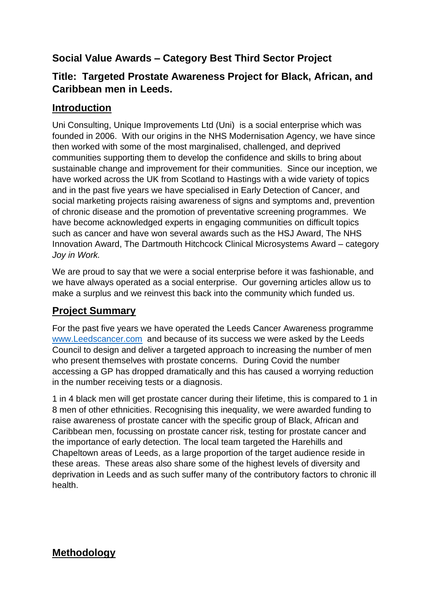# **Social Value Awards – Category Best Third Sector Project**

### **Title: Targeted Prostate Awareness Project for Black, African, and Caribbean men in Leeds.**

### **Introduction**

Uni Consulting, Unique Improvements Ltd (Uni) is a social enterprise which was founded in 2006. With our origins in the NHS Modernisation Agency, we have since then worked with some of the most marginalised, challenged, and deprived communities supporting them to develop the confidence and skills to bring about sustainable change and improvement for their communities. Since our inception, we have worked across the UK from Scotland to Hastings with a wide variety of topics and in the past five years we have specialised in Early Detection of Cancer, and social marketing projects raising awareness of signs and symptoms and, prevention of chronic disease and the promotion of preventative screening programmes. We have become acknowledged experts in engaging communities on difficult topics such as cancer and have won several awards such as the HSJ Award, The NHS Innovation Award, The Dartmouth Hitchcock Clinical Microsystems Award – category *Joy in Work.*

We are proud to say that we were a social enterprise before it was fashionable, and we have always operated as a social enterprise. Our governing articles allow us to make a surplus and we reinvest this back into the community which funded us.

## **Project Summary**

For the past five years we have operated the Leeds Cancer Awareness programme [www.Leedscancer.com](http://www.leedscancer.com/) and because of its success we were asked by the Leeds Council to design and deliver a targeted approach to increasing the number of men who present themselves with prostate concerns. During Covid the number accessing a GP has dropped dramatically and this has caused a worrying reduction in the number receiving tests or a diagnosis.

1 in 4 black men will get prostate cancer during their lifetime, this is compared to 1 in 8 men of other ethnicities. Recognising this inequality, we were awarded funding to raise awareness of prostate cancer with the specific group of Black, African and Caribbean men, focussing on prostate cancer risk, testing for prostate cancer and the importance of early detection. The local team targeted the Harehills and Chapeltown areas of Leeds, as a large proportion of the target audience reside in these areas. These areas also share some of the highest levels of diversity and deprivation in Leeds and as such suffer many of the contributory factors to chronic ill health.

## **Methodology**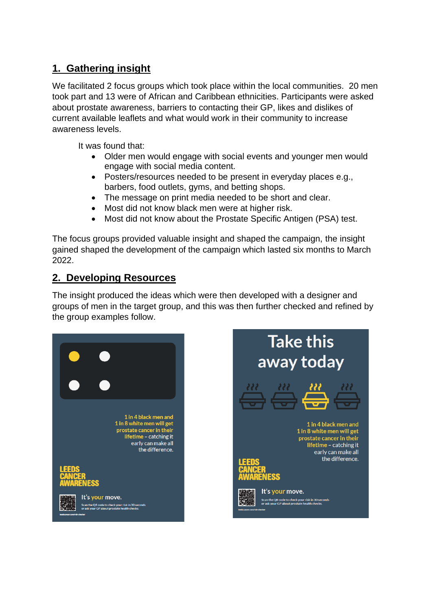# **1. Gathering insight**

We facilitated 2 focus groups which took place within the local communities. 20 men took part and 13 were of African and Caribbean ethnicities. Participants were asked about prostate awareness, barriers to contacting their GP, likes and dislikes of current available leaflets and what would work in their community to increase awareness levels.

It was found that:

- Older men would engage with social events and younger men would engage with social media content.
- Posters/resources needed to be present in everyday places e.g., barbers, food outlets, gyms, and betting shops.
- The message on print media needed to be short and clear.
- Most did not know black men were at higher risk.
- Most did not know about the Prostate Specific Antigen (PSA) test.

The focus groups provided valuable insight and shaped the campaign, the insight gained shaped the development of the campaign which lasted six months to March 2022.

#### **2. Developing Resources**

The insight produced the ideas which were then developed with a designer and groups of men in the target group, and this was then further checked and refined by the group examples follow.



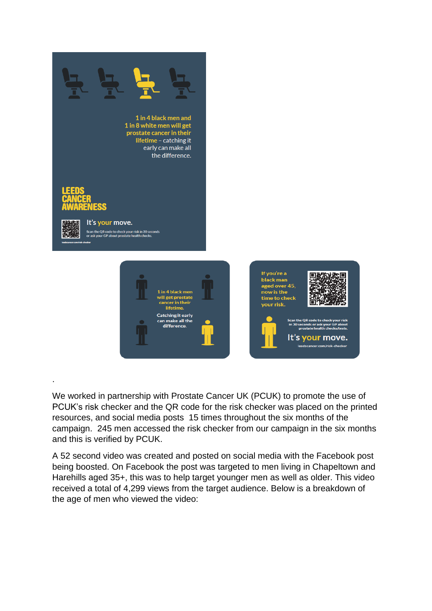

We worked in partnership with Prostate Cancer UK (PCUK) to promote the use of PCUK's risk checker and the QR code for the risk checker was placed on the printed resources, and social media posts 15 times throughout the six months of the campaign. 245 men accessed the risk checker from our campaign in the six months and this is verified by PCUK.

A 52 second video was created and posted on social media with the Facebook post being boosted. On Facebook the post was targeted to men living in Chapeltown and Harehills aged 35+, this was to help target younger men as well as older. This video received a total of 4,299 views from the target audience. Below is a breakdown of the age of men who viewed the video: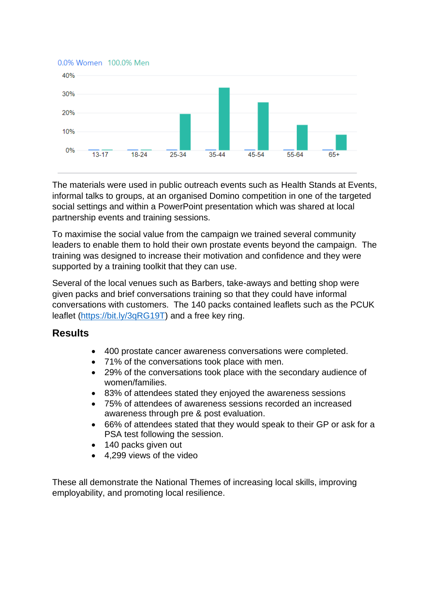



The materials were used in public outreach events such as Health Stands at Events, informal talks to groups, at an organised Domino competition in one of the targeted social settings and within a PowerPoint presentation which was shared at local partnership events and training sessions.

To maximise the social value from the campaign we trained several community leaders to enable them to hold their own prostate events beyond the campaign. The training was designed to increase their motivation and confidence and they were supported by a training toolkit that they can use.

Several of the local venues such as Barbers, take-aways and betting shop were given packs and brief conversations training so that they could have informal conversations with customers. The 140 packs contained leaflets such as the PCUK leaflet [\(https://bit.ly/3qRG19T\)](https://bit.ly/3qRG19T) and a free key ring.

#### **Results**

- 400 prostate cancer awareness conversations were completed.
- 71% of the conversations took place with men.
- 29% of the conversations took place with the secondary audience of women/families.
- 83% of attendees stated they enjoyed the awareness sessions
- 75% of attendees of awareness sessions recorded an increased awareness through pre & post evaluation.
- 66% of attendees stated that they would speak to their GP or ask for a PSA test following the session.
- 140 packs given out
- 4,299 views of the video

These all demonstrate the National Themes of increasing local skills, improving employability, and promoting local resilience.